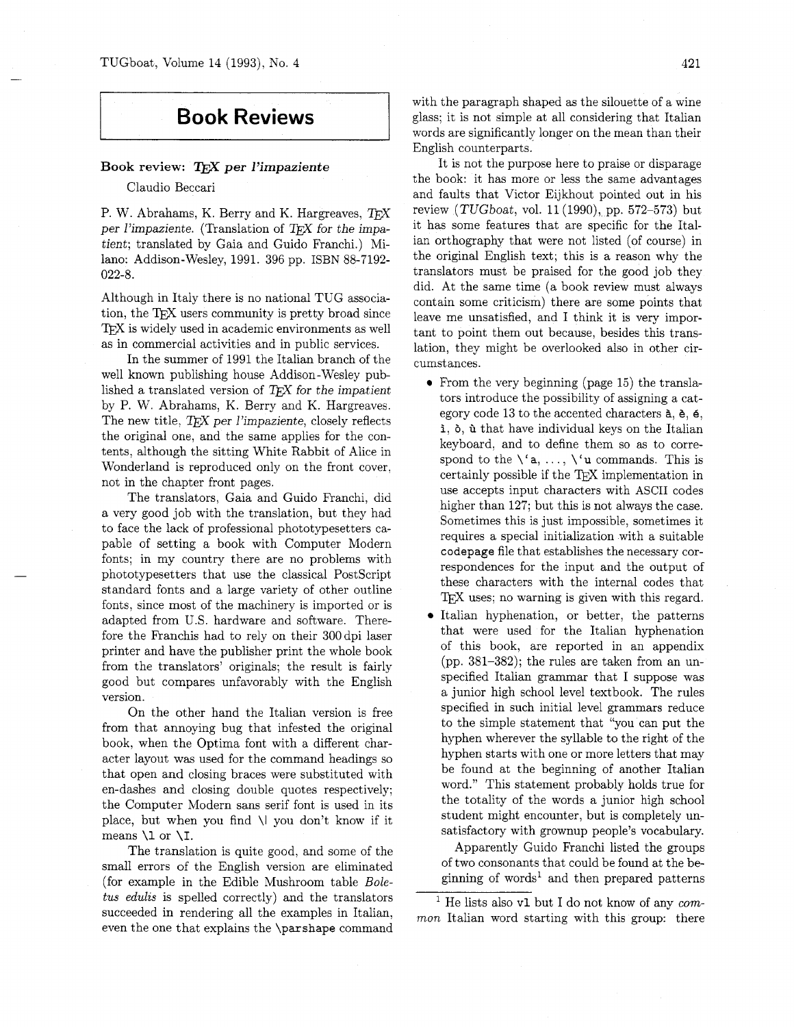## **Book Reviews**

## **Book review:** T<sub>F</sub>X per l'impaziente

Claudio Beccari

P. W. Abrahams, K. Berry and K. Hargreaves,  $T_F X$ per l'impaziente. (Translation of  $T_{E}X$  for the impatient; translated by Gaia and Guido Franchi.) Milano: Addison-Wesley, 1991. 396 pp. ISBN 88-7192- 022-8.

Although in Italy there is no national TUG association, the TEX users community is pretty broad since T<sub>F</sub>X is widely used in academic environments as well as in commercial activities and in public services.

In the summer of 1991 the Italian branch of the well known publishing house Addison-Wesley published a translated version of  $T_{F}X$  for the impatient by P. W. Abrahams, K. Berry and K. Hargreaves. The new title,  $T_{F}X$  per *l'impaziente*, closely reflects the original one, and the same applies for the contents, although the sitting White Rabbit of Alice in Wonderland is reproduced only on the front cover, not in the chapter front pages.

The translators, Gaia and Guido Franchi, did a very good job with the translation, but they had to face the lack of professional phototypesetters capable of setting a book with Computer Modern fonts; in my country there are no problems with phototypesetters that use the classical PostScript standard fonts and a large variety of other outline fonts, since most of the machinery is imported or is adapted from U.S. hardware and software. Therefore the Franchis had to rely on their 300 dpi laser printer and have the publisher print the whole book from the translators' originals; the result is fairly good but compares unfavorably with the English version.

On the other hand the Italian version is free from that annoying bug that infested the original book, when the Optima font with a different character layout was used for the command headings so that open and closing braces were substituted with en-dashes and closing double quotes respectively; the Computer Modern sans serif font is used in its place, but when you find \I you don't know if it means  $\lceil$  or  $\lceil$ .

The translation is quite good, and some of the small errors of the English version are eliminated (for example in the Edible Mushroom table *Boletus edulzs* is spelled correctly) and the translators succeeded in rendering all the examples in Italian, even the one that explains the \parshape command with the paragraph shaped as the silouette of a wine glass; it is not simple at all considering that Italian words are significantly longer on the mean than their English counterparts.

It is not the purpose here to praise or disparage the book: it has more or less the same advantages and faults that Victor Eijkhout pointed out in his review  $(TUGboat, vol. 11(1990), pp. 572-573)$  but it has some features that are specific for the Italian orthography that were not listed (of course) in the original English text; this is a reason why the translators must be praised for the good job they did. At the same time (a book review must always contain some criticism) there are some points that leave me unsatisfied, and I think it is very important to point them out because, besides this translation, they might be overlooked also in other circumstances.

- From the very beginning (page 15) the translators introduce the possibility of assigning a category code 13 to the accented characters  $a, b, 6$ , i,  $\delta$ ,  $\dot{u}$  that have individual keys on the Italian keyboard, and to define them so as to correspond to the  $\langle a, \ldots, \lambda \rangle$  **u** commands. This is certainly possible if the TFX implementation in use accepts input characters with ASCII codes higher than 127; but this is not always the case. Sometimes this is just impossible, sometimes it requires a special initialization with a suitable codepage file that establishes the necessary correspondences for the input and the output of these characters with the internal codes that IFX uses; no warning is given with this regard.
- Italian hyphenation, or better, the patterns that were used for the Italian hyphenation of this book, are reported in an appendix (pp. 381-382); the rules are taken from an unspecified Italian grammar that I suppose was a junior high school level textbook. The rules specified in such initial level grammars reduce to the simple statement that "you can put the hyphen wherever the syllable to the right of the hyphen starts with one or more letters that may be found at the beginning of another Italian word." This statement probably holds true for the totality of the words a junior high school student might encounter, but is completely unsatisfactory with grownup people's vocabulary.

Apparently Guido Franchi listed the groups of two consonants that could be found at the beginning of words<sup>1</sup> and then prepared patterns

<sup>1</sup> He lists also v1 but I do not know of any *common* Italian word starting with this group: there